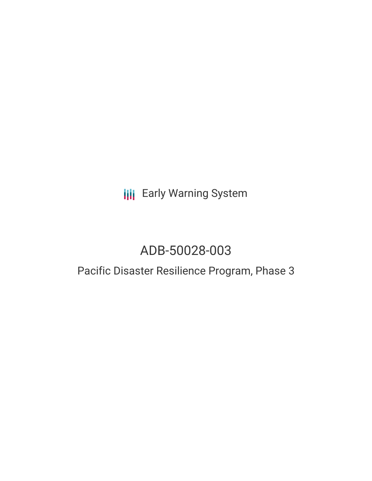**III** Early Warning System

# ADB-50028-003

## Pacific Disaster Resilience Program, Phase 3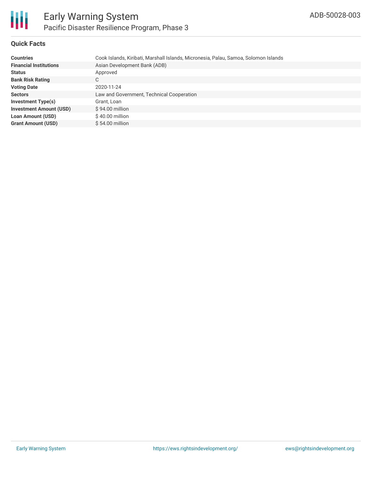

#### **Quick Facts**

| <b>Countries</b>               | Cook Islands, Kiribati, Marshall Islands, Micronesia, Palau, Samoa, Solomon Islands |
|--------------------------------|-------------------------------------------------------------------------------------|
| <b>Financial Institutions</b>  | Asian Development Bank (ADB)                                                        |
| <b>Status</b>                  | Approved                                                                            |
| <b>Bank Risk Rating</b>        | C                                                                                   |
| <b>Voting Date</b>             | 2020-11-24                                                                          |
| <b>Sectors</b>                 | Law and Government, Technical Cooperation                                           |
| <b>Investment Type(s)</b>      | Grant, Loan                                                                         |
| <b>Investment Amount (USD)</b> | $$94.00$ million                                                                    |
| <b>Loan Amount (USD)</b>       | $$40.00$ million                                                                    |
| <b>Grant Amount (USD)</b>      | $$54.00$ million                                                                    |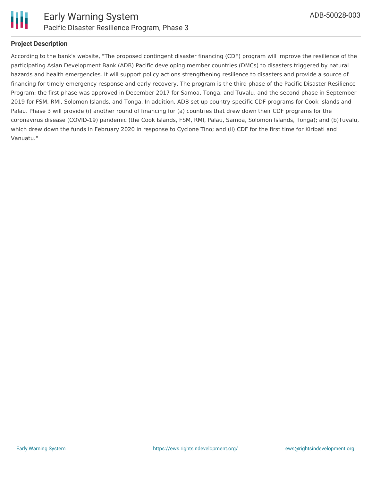

#### **Project Description**

According to the bank's website, "The proposed contingent disaster financing (CDF) program will improve the resilience of the participating Asian Development Bank (ADB) Pacific developing member countries (DMCs) to disasters triggered by natural hazards and health emergencies. It will support policy actions strengthening resilience to disasters and provide a source of financing for timely emergency response and early recovery. The program is the third phase of the Pacific Disaster Resilience Program; the first phase was approved in December 2017 for Samoa, Tonga, and Tuvalu, and the second phase in September 2019 for FSM, RMI, Solomon Islands, and Tonga. In addition, ADB set up country-specific CDF programs for Cook Islands and Palau. Phase 3 will provide (i) another round of financing for (a) countries that drew down their CDF programs for the coronavirus disease (COVID-19) pandemic (the Cook Islands, FSM, RMI, Palau, Samoa, Solomon Islands, Tonga); and (b)Tuvalu, which drew down the funds in February 2020 in response to Cyclone Tino; and (ii) CDF for the first time for Kiribati and Vanuatu."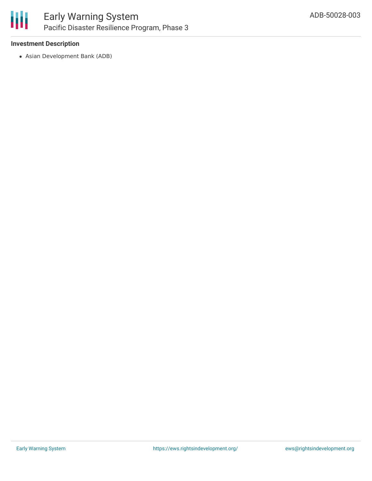

#### **Investment Description**

Asian Development Bank (ADB)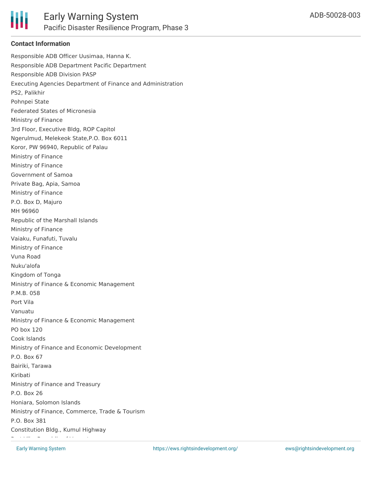

#### **Contact Information**

Responsible ADB Officer Uusimaa, Hanna K. Responsible ADB Department Pacific Department Responsible ADB Division PASP Executing Agencies Department of Finance and Administration PS2, Palikhir Pohnpei State Federated States of Micronesia Ministry of Finance 3rd Floor, Executive Bldg, ROP Capitol Ngerulmud, Melekeok State,P.O. Box 6011 Koror, PW 96940, Republic of Palau Ministry of Finance Ministry of Finance Government of Samoa Private Bag, Apia, Samoa Ministry of Finance P.O. Box D, Majuro MH 96960 Republic of the Marshall Islands Ministry of Finance Vaiaku, Funafuti, Tuvalu Ministry of Finance Vuna Road Nuku'alofa Kingdom of Tonga Ministry of Finance & Economic Management P.M.B. 058 Port Vila Vanuatu Ministry of Finance & Economic Management PO box 120 Cook Islands Ministry of Finance and Economic Development P.O. Box 67 Bairiki, Tarawa Kiribati Ministry of Finance and Treasury P.O. Box 26 Honiara, Solomon Islands Ministry of Finance, Commerce, Trade & Tourism P.O. Box 381 Constitution Bldg., Kumul Highway Port Vila, Republic of Vanuatu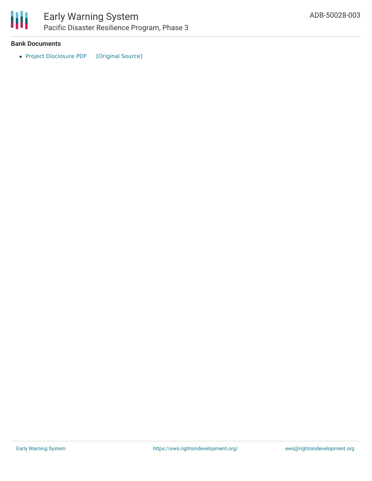

### Early Warning System Pacific Disaster Resilience Program, Phase 3

#### **Bank Documents**

• Project [Disclosure](https://ewsdata.rightsindevelopment.org/files/documents/03/ADB-50028-003.pdf) PDF [\[Original](https://www.adb.org/printpdf/projects/50028-003/main) Source]